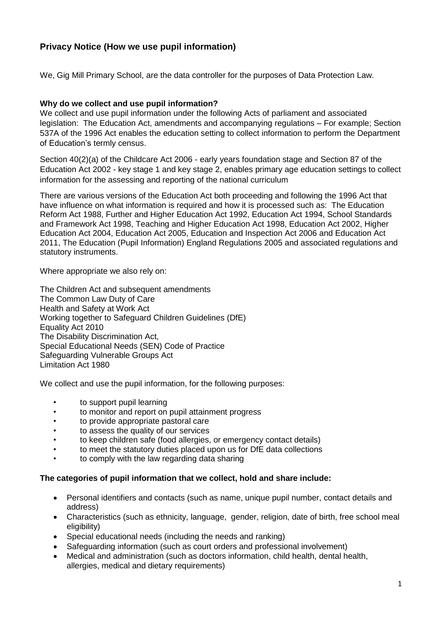# **Privacy Notice (How we use pupil information)**

We, Gig Mill Primary School, are the data controller for the purposes of Data Protection Law.

### **Why do we collect and use pupil information?**

We collect and use pupil information under the following Acts of parliament and associated legislation: The Education Act, amendments and accompanying regulations – For example; Section 537A of the 1996 Act enables the education setting to collect information to perform the Department of Education's termly census.

Section 40(2)(a) of the Childcare Act 2006 - early years foundation stage and Section 87 of the Education Act 2002 - key stage 1 and key stage 2, enables primary age education settings to collect information for the assessing and reporting of the national curriculum

There are various versions of the Education Act both proceeding and following the 1996 Act that have influence on what information is required and how it is processed such as: The Education Reform Act 1988, Further and Higher Education Act 1992, Education Act 1994, School Standards and Framework Act 1998, Teaching and Higher Education Act 1998, Education Act 2002, Higher Education Act 2004, Education Act 2005, Education and Inspection Act 2006 and Education Act 2011, The Education (Pupil Information) England Regulations 2005 and associated regulations and statutory instruments.

Where appropriate we also rely on:

The Children Act and subsequent amendments The Common Law Duty of Care Health and Safety at Work Act Working together to Safeguard Children Guidelines (DfE) Equality Act 2010 The Disability Discrimination Act, Special Educational Needs (SEN) Code of Practice Safeguarding Vulnerable Groups Act Limitation Act 1980

We collect and use the pupil information, for the following purposes:

- to support pupil learning
- to monitor and report on pupil attainment progress
- to provide appropriate pastoral care
- to assess the quality of our services
- to keep children safe (food allergies, or emergency contact details)
- to meet the statutory duties placed upon us for DfE data collections
- to comply with the law regarding data sharing

#### **The categories of pupil information that we collect, hold and share include:**

- Personal identifiers and contacts (such as name, unique pupil number, contact details and address)
- Characteristics (such as ethnicity, language, gender, religion, date of birth, free school meal eligibility)
- Special educational needs (including the needs and ranking)
- Safeguarding information (such as court orders and professional involvement)
- Medical and administration (such as doctors information, child health, dental health, allergies, medical and dietary requirements)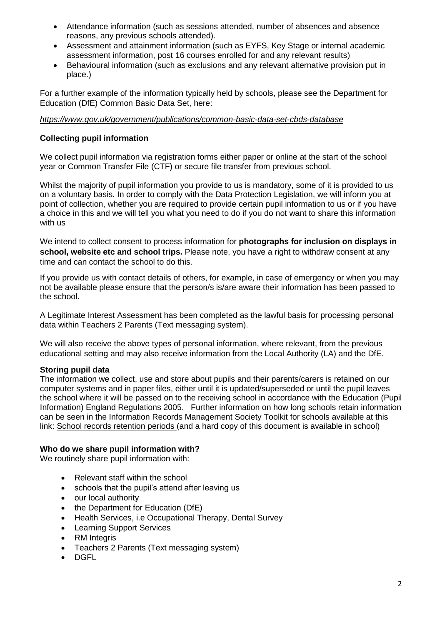- Attendance information (such as sessions attended, number of absences and absence reasons, any previous schools attended).
- Assessment and attainment information (such as EYFS, Key Stage or internal academic assessment information, post 16 courses enrolled for and any relevant results)
- Behavioural information (such as exclusions and any relevant alternative provision put in place.)

For a further example of the information typically held by schools, please see the Department for Education (DfE) Common Basic Data Set, here:

### *<https://www.gov.uk/government/publications/common-basic-data-set-cbds-database>*

### **Collecting pupil information**

We collect pupil information via registration forms either paper or online at the start of the school year or Common Transfer File (CTF) or secure file transfer from previous school.

Whilst the majority of pupil information you provide to us is mandatory, some of it is provided to us on a voluntary basis. In order to comply with the Data Protection Legislation, we will inform you at point of collection, whether you are required to provide certain pupil information to us or if you have a choice in this and we will tell you what you need to do if you do not want to share this information with us

We intend to collect consent to process information for **photographs for inclusion on displays in school, website etc and school trips.** Please note, you have a right to withdraw consent at any time and can contact the school to do this.

If you provide us with contact details of others, for example, in case of emergency or when you may not be available please ensure that the person/s is/are aware their information has been passed to the school.

A Legitimate Interest Assessment has been completed as the lawful basis for processing personal data within Teachers 2 Parents (Text messaging system).

We will also receive the above types of personal information, where relevant, from the previous educational setting and may also receive information from the Local Authority (LA) and the DfE.

#### **Storing pupil data**

The information we collect, use and store about pupils and their parents/carers is retained on our computer systems and in paper files, either until it is updated/superseded or until the pupil leaves the school where it will be passed on to the receiving school in accordance with the Education (Pupil Information) England Regulations 2005. Further information on how long schools retain information can be seen in the Information Records Management Society Toolkit for schools available at this link: [School records retention periods](https://c.ymcdn.com/sites/irms.site-ym.com/resource/collection/8BCEF755-0353-4F66-9877-CCDA4BFEEAC4/2016_IRMS_Toolkit_for_Schools_v5_Master.pdf) (and a hard copy of this document is available in school)

#### **Who do we share pupil information with?**

We routinely share pupil information with:

- Relevant staff within the school
- schools that the pupil's attend after leaving us
- our local authority
- the Department for Education (DfE)
- Health Services, i.e Occupational Therapy, Dental Survey
- Learning Support Services
- RM Integris
- Teachers 2 Parents (Text messaging system)
- DGFL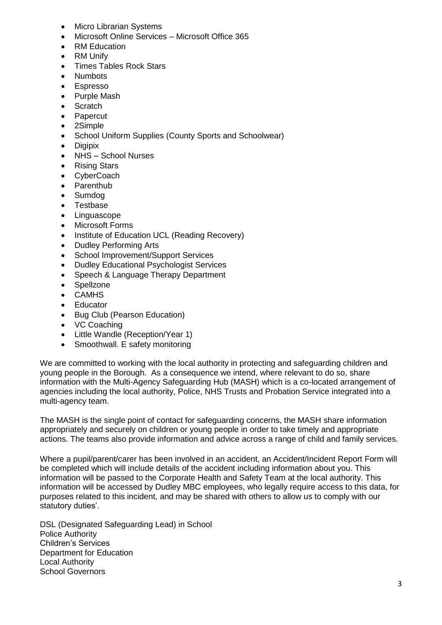- **Micro Librarian Systems**
- Microsoft Online Services Microsoft Office 365
- **RM Education**
- RM Unify
- Times Tables Rock Stars
- Numbots
- **Espresso**
- Purple Mash
- **Scratch**
- **Papercut**
- 2Simple
- School Uniform Supplies (County Sports and Schoolwear)
- Digipix
- NHS School Nurses
- Rising Stars
- CyberCoach
- Parenthub
- Sumdog
- Testbase
- Linguascope
- Microsoft Forms
- Institute of Education UCL (Reading Recovery)
- Dudley Performing Arts
- School Improvement/Support Services
- Dudley Educational Psychologist Services
- Speech & Language Therapy Department
- **Spellzone**
- CAMHS
- Educator
- Bug Club (Pearson Education)
- VC Coaching
- Little Wandle (Reception/Year 1)
- Smoothwall. E safety monitoring

We are committed to working with the local authority in protecting and safeguarding children and young people in the Borough. As a consequence we intend, where relevant to do so, share information with the Multi-Agency Safeguarding Hub (MASH) which is a co-located arrangement of agencies including the local authority, Police, NHS Trusts and Probation Service integrated into a multi-agency team.

The MASH is the single point of contact for safeguarding concerns, the MASH share information appropriately and securely on children or young people in order to take timely and appropriate actions. The teams also provide information and advice across a range of child and family services.

Where a pupil/parent/carer has been involved in an accident, an Accident/Incident Report Form will be completed which will include details of the accident including information about you. This information will be passed to the Corporate Health and Safety Team at the local authority. This information will be accessed by Dudley MBC employees, who legally require access to this data, for purposes related to this incident, and may be shared with others to allow us to comply with our statutory duties'.

DSL (Designated Safeguarding Lead) in School Police Authority Children's Services Department for Education Local Authority School Governors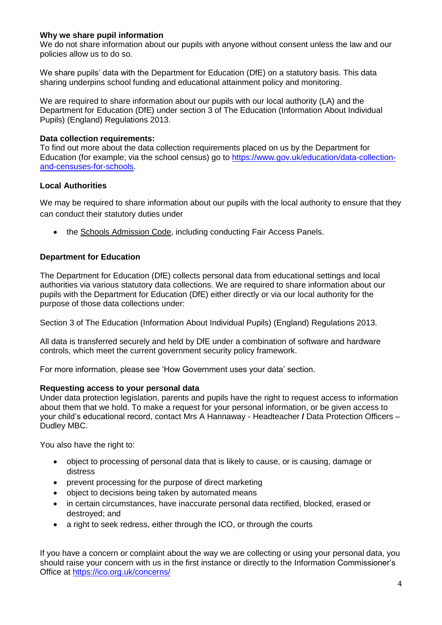### **Why we share pupil information**

We do not share information about our pupils with anyone without consent unless the law and our policies allow us to do so.

We share pupils' data with the Department for Education (DfE) on a statutory basis. This data sharing underpins school funding and educational attainment policy and monitoring.

We are required to share information about our pupils with our local authority (LA) and the Department for Education (DfE) under section 3 of The Education (Information About Individual Pupils) (England) Regulations 2013.

#### **Data collection requirements:**

To find out more about the data collection requirements placed on us by the Department for Education (for example; via the school census) go to [https://www.gov.uk/education/data-collection](https://www.gov.uk/education/data-collection-and-censuses-for-schools)[and-censuses-for-schools.](https://www.gov.uk/education/data-collection-and-censuses-for-schools)

### **Local Authorities**

We may be required to share information about our pupils with the local authority to ensure that they can conduct their statutory duties under

• the [Schools Admission Code,](https://www.gov.uk/government/publications/school-admissions-code--2) including conducting Fair Access Panels.

### **Department for Education**

The Department for Education (DfE) collects personal data from educational settings and local authorities via various statutory data collections. We are required to share information about our pupils with the Department for Education (DfE) either directly or via our local authority for the purpose of those data collections under:

Section 3 of The Education (Information About Individual Pupils) (England) Regulations 2013.

All data is transferred securely and held by DfE under a combination of software and hardware controls, which meet the current government security policy framework.

For more information, please see 'How Government uses your data' section.

#### **Requesting access to your personal data**

Under data protection legislation, parents and pupils have the right to request access to information about them that we hold. To make a request for your personal information, or be given access to your child's educational record, contact Mrs A Hannaway - Headteacher **/** Data Protection Officers – Dudley MBC.

You also have the right to:

- object to processing of personal data that is likely to cause, or is causing, damage or distress
- prevent processing for the purpose of direct marketing
- object to decisions being taken by automated means
- in certain circumstances, have inaccurate personal data rectified, blocked, erased or destroyed; and
- a right to seek redress, either through the ICO, or through the courts

If you have a concern or complaint about the way we are collecting or using your personal data, you should raise your concern with us in the first instance or directly to the Information Commissioner's Office at <https://ico.org.uk/concerns/>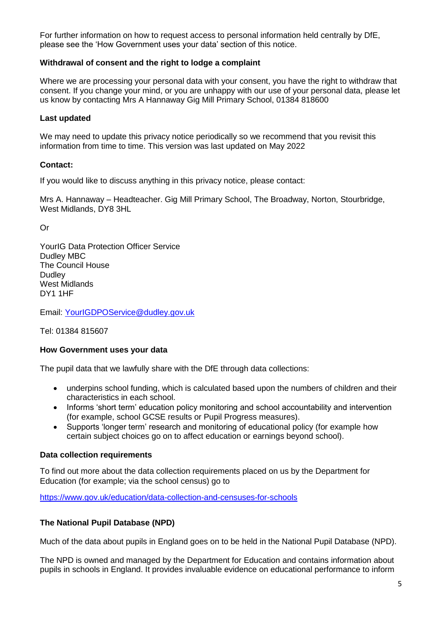For further information on how to request access to personal information held centrally by DfE, please see the 'How Government uses your data' section of this notice.

### **Withdrawal of consent and the right to lodge a complaint**

Where we are processing your personal data with your consent, you have the right to withdraw that consent. If you change your mind, or you are unhappy with our use of your personal data, please let us know by contacting Mrs A Hannaway Gig Mill Primary School, 01384 818600

### **Last updated**

We may need to update this privacy notice periodically so we recommend that you revisit this information from time to time. This version was last updated on May 2022

### **Contact:**

If you would like to discuss anything in this privacy notice, please contact:

Mrs A. Hannaway – Headteacher. Gig Mill Primary School, The Broadway, Norton, Stourbridge, West Midlands, DY8 3HL

Or

YourIG Data Protection Officer Service Dudley MBC The Council House **Dudley** West Midlands DY1 1HF

Email: [YourIGDPOService@dudley.gov.uk](mailto:YourIGDPOService@dudley.gov.uk)

Tel: 01384 815607

#### **How Government uses your data**

The pupil data that we lawfully share with the DfE through data collections:

- underpins school funding, which is calculated based upon the numbers of children and their characteristics in each school.
- Informs 'short term' education policy monitoring and school accountability and intervention (for example, school GCSE results or Pupil Progress measures).
- Supports 'longer term' research and monitoring of educational policy (for example how certain subject choices go on to affect education or earnings beyond school).

#### **Data collection requirements**

To find out more about the data collection requirements placed on us by the Department for Education (for example; via the school census) go to

<https://www.gov.uk/education/data-collection-and-censuses-for-schools>

#### **The National Pupil Database (NPD)**

Much of the data about pupils in England goes on to be held in the National Pupil Database (NPD).

The NPD is owned and managed by the Department for Education and contains information about pupils in schools in England. It provides invaluable evidence on educational performance to inform